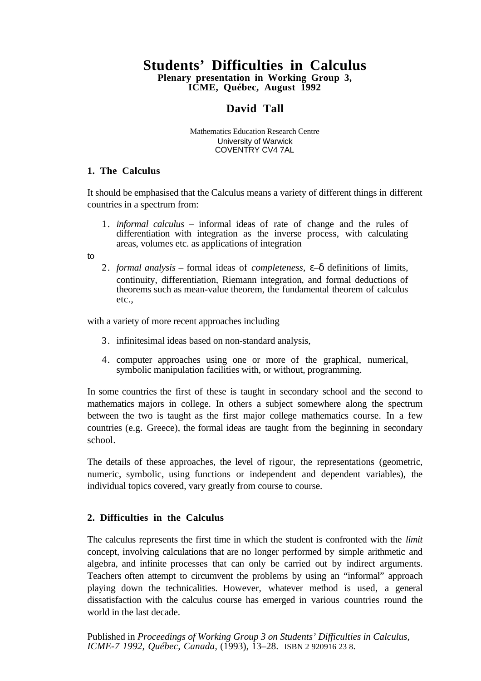# **Students' Difficulties in Calculus**

**Plenary presentation in Working Group 3, ICME, Québec, August 1992**

## **David Tall**

Mathematics Education Research Centre University of Warwick COVENTRY CV4 7AL

#### **1. The Calculus**

It should be emphasised that the Calculus means a variety of different things in different countries in a spectrum from:

1. *informal calculus* – informal ideas of rate of change and the rules of differentiation with integration as the inverse process, with calculating areas, volumes etc. as applications of integration

to

2. *formal analysis* – formal ideas of *completeness*, ε–δ definitions of limits, continuity, differentiation, Riemann integration, and formal deductions of theorems such as mean-value theorem, the fundamental theorem of calculus etc.,

with a variety of more recent approaches including

- 3. infinitesimal ideas based on non-standard analysis,
- 4. computer approaches using one or more of the graphical, numerical, symbolic manipulation facilities with, or without, programming.

In some countries the first of these is taught in secondary school and the second to mathematics majors in college. In others a subject somewhere along the spectrum between the two is taught as the first major college mathematics course. In a few countries (e.g. Greece), the formal ideas are taught from the beginning in secondary school.

The details of these approaches, the level of rigour, the representations (geometric, numeric, symbolic, using functions or independent and dependent variables), the individual topics covered, vary greatly from course to course.

## **2. Difficulties in the Calculus**

The calculus represents the first time in which the student is confronted with the *limit* concept, involving calculations that are no longer performed by simple arithmetic and algebra, and infinite processes that can only be carried out by indirect arguments. Teachers often attempt to circumvent the problems by using an "informal" approach playing down the technicalities. However, whatever method is used, a general dissatisfaction with the calculus course has emerged in various countries round the world in the last decade.

Published in *Proceedings of Working Group 3 on Students' Difficulties in Calculus, ICME-7 1992, Québec, Canada*, (1993), 13–28. ISBN 2 920916 23 8.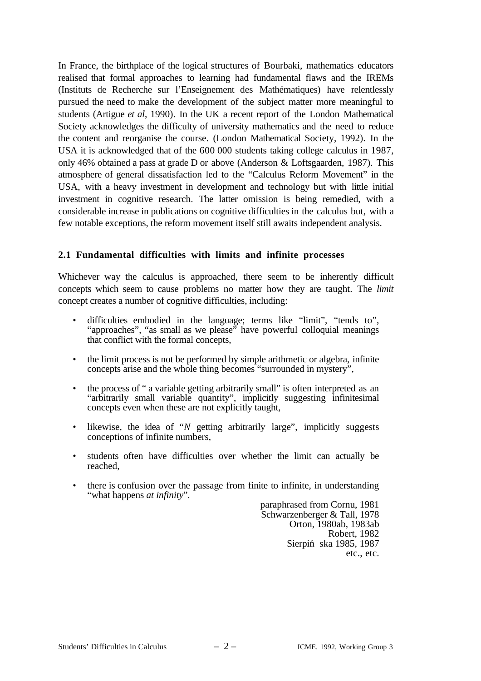In France, the birthplace of the logical structures of Bourbaki, mathematics educators realised that formal approaches to learning had fundamental flaws and the IREMs (Instituts de Recherche sur l'Enseignement des Mathématiques) have relentlessly pursued the need to make the development of the subject matter more meaningful to students (Artigue *et al*, 1990). In the UK a recent report of the London Mathematical Society acknowledges the difficulty of university mathematics and the need to reduce the content and reorganise the course. (London Mathematical Society, 1992). In the USA it is acknowledged that of the 600 000 students taking college calculus in 1987, only 46% obtained a pass at grade D or above (Anderson & Loftsgaarden, 1987). This atmosphere of general dissatisfaction led to the "Calculus Reform Movement" in the USA, with a heavy investment in development and technology but with little initial investment in cognitive research. The latter omission is being remedied, with a considerable increase in publications on cognitive difficulties in the calculus but, with a few notable exceptions, the reform movement itself still awaits independent analysis.

## **2.1 Fundamental difficulties with limits and infinite processes**

Whichever way the calculus is approached, there seem to be inherently difficult concepts which seem to cause problems no matter how they are taught. The *limit* concept creates a number of cognitive difficulties, including:

- difficulties embodied in the language; terms like "limit", "tends to", "approaches", "as small as we please" have powerful colloquial meanings that conflict with the formal concepts,
- the limit process is not be performed by simple arithmetic or algebra, infinite concepts arise and the whole thing becomes "surrounded in mystery",
- the process of " a variable getting arbitrarily small" is often interpreted as an "arbitrarily small variable quantity", implicitly suggesting infinitesimal concepts even when these are not explicitly taught,
- likewise, the idea of "*N* getting arbitrarily large", implicitly suggests conceptions of infinite numbers,
- students often have difficulties over whether the limit can actually be reached,
- there is confusion over the passage from finite to infinite, in understanding "what happens *at infinity*".

paraphrased from Cornu, 1981 Schwarzenberger & Tall, 1978 Orton, 1980ab, 1983ab Robert, 1982 Sierpin*'* ska 1985, 1987 etc., etc.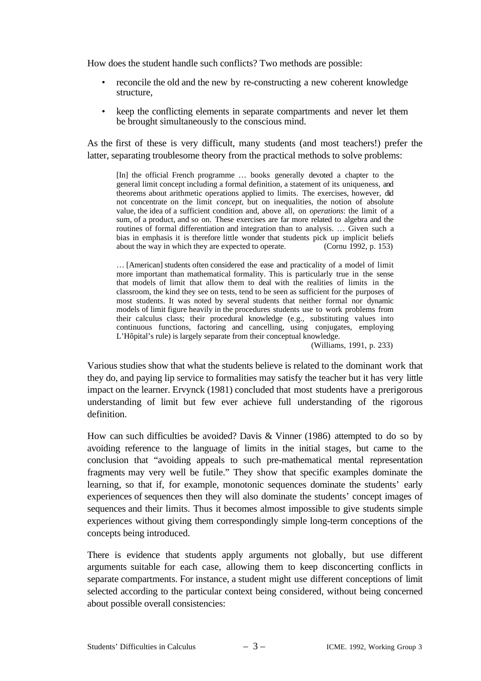How does the student handle such conflicts? Two methods are possible:

- reconcile the old and the new by re-constructing a new coherent knowledge structure,
- keep the conflicting elements in separate compartments and never let them be brought simultaneously to the conscious mind.

As the first of these is very difficult, many students (and most teachers!) prefer the latter, separating troublesome theory from the practical methods to solve problems:

[In] the official French programme … books generally devoted a chapter to the general limit concept including a formal definition, a statement of its uniqueness, and theorems about arithmetic operations applied to limits. The exercises, however, did not concentrate on the limit *concept*, but on inequalities, the notion of absolute value, the idea of a sufficient condition and, above all, on *operations*: the limit of a sum, of a product, and so on. These exercises are far more related to algebra and the routines of formal differentiation and integration than to analysis. … Given such a bias in emphasis it is therefore little wonder that students pick up implicit beliefs about the way in which they are expected to operate. (Cornu 1992, p. 153)

… [American] students often considered the ease and practicality of a model of limit more important than mathematical formality. This is particularly true in the sense that models of limit that allow them to deal with the realities of limits in the classroom, the kind they see on tests, tend to be seen as sufficient for the purposes of most students. It was noted by several students that neither formal nor dynamic models of limit figure heavily in the procedures students use to work problems from their calculus class; their procedural knowledge (e.g., substituting values into continuous functions, factoring and cancelling, using conjugates, employing L'Hôpital's rule) is largely separate from their conceptual knowledge.

(Williams, 1991, p. 233)

Various studies show that what the students believe is related to the dominant work that they do, and paying lip service to formalities may satisfy the teacher but it has very little impact on the learner. Ervynck (1981) concluded that most students have a prerigorous understanding of limit but few ever achieve full understanding of the rigorous definition.

How can such difficulties be avoided? Davis & Vinner (1986) attempted to do so by avoiding reference to the language of limits in the initial stages, but came to the conclusion that "avoiding appeals to such pre-mathematical mental representation fragments may very well be futile." They show that specific examples dominate the learning, so that if, for example, monotonic sequences dominate the students' early experiences of sequences then they will also dominate the students' concept images of sequences and their limits. Thus it becomes almost impossible to give students simple experiences without giving them correspondingly simple long-term conceptions of the concepts being introduced.

There is evidence that students apply arguments not globally, but use different arguments suitable for each case, allowing them to keep disconcerting conflicts in separate compartments. For instance, a student might use different conceptions of limit selected according to the particular context being considered, without being concerned about possible overall consistencies: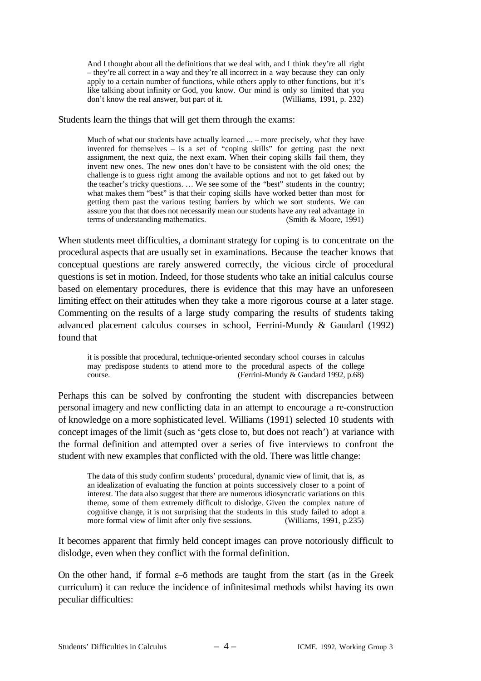And I thought about all the definitions that we deal with, and I think they're all right – they're all correct in a way and they're all incorrect in a way because they can only apply to a certain number of functions, while others apply to other functions, but it's like talking about infinity or God, you know. Our mind is only so limited that you don't know the real answer, but part of it. (Williams, 1991, p. 232)

#### Students learn the things that will get them through the exams:

Much of what our students have actually learned ... – more precisely, what they have invented for themselves – is a set of "coping skills" for getting past the next assignment, the next quiz, the next exam. When their coping skills fail them, they invent new ones. The new ones don't have to be consistent with the old ones; the challenge is to guess right among the available options and not to get faked out by the teacher's tricky questions. … We see some of the "best" students in the country; what makes them "best" is that their coping skills have worked better than most for getting them past the various testing barriers by which we sort students. We can assure you that that does not necessarily mean our students have any real advantage in terms of understanding mathematics. (Smith & Moore, 1991)

When students meet difficulties, a dominant strategy for coping is to concentrate on the procedural aspects that are usually set in examinations. Because the teacher knows that conceptual questions are rarely answered correctly, the vicious circle of procedural questions is set in motion. Indeed, for those students who take an initial calculus course based on elementary procedures, there is evidence that this may have an unforeseen limiting effect on their attitudes when they take a more rigorous course at a later stage. Commenting on the results of a large study comparing the results of students taking advanced placement calculus courses in school, Ferrini-Mundy & Gaudard (1992) found that

it is possible that procedural, technique-oriented secondary school courses in calculus may predispose students to attend more to the procedural aspects of the college course.<br>(Ferrini-Mundy & Gaudard 1992, p.68) (Ferrini-Mundy  $&$  Gaudard 1992, p.68)

Perhaps this can be solved by confronting the student with discrepancies between personal imagery and new conflicting data in an attempt to encourage a re-construction of knowledge on a more sophisticated level. Williams (1991) selected 10 students with concept images of the limit (such as 'gets close to, but does not reach') at variance with the formal definition and attempted over a series of five interviews to confront the student with new examples that conflicted with the old. There was little change:

The data of this study confirm students' procedural, dynamic view of limit, that is, as an idealization of evaluating the function at points successively closer to a point of interest. The data also suggest that there are numerous idiosyncratic variations on this theme, some of them extremely difficult to dislodge. Given the complex nature of cognitive change, it is not surprising that the students in this study failed to adopt a more formal view of limit after only five sessions. (Williams, 1991, p.235) more formal view of limit after only five sessions.

It becomes apparent that firmly held concept images can prove notoriously difficult to dislodge, even when they conflict with the formal definition.

On the other hand, if formal  $\varepsilon-\delta$  methods are taught from the start (as in the Greek curriculum) it can reduce the incidence of infinitesimal methods whilst having its own peculiar difficulties: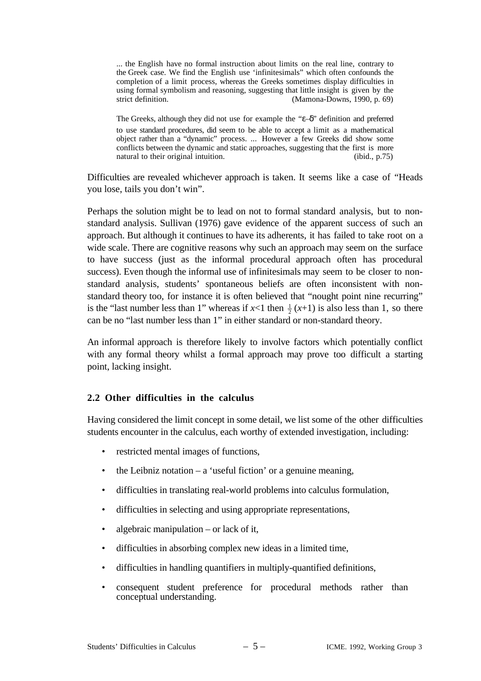... the English have no formal instruction about limits on the real line, contrary to the Greek case. We find the English use 'infinitesimals" which often confounds the completion of a limit process, whereas the Greeks sometimes display difficulties in using formal symbolism and reasoning, suggesting that little insight is given by the strict definition. (Mamona-Downs, 1990, p. 69)

The Greeks, although they did not use for example the "ε–δ" definition and preferred to use standard procedures, did seem to be able to accept a limit as a mathematical object rather than a "dynamic" process. ... However a few Greeks did show some conflicts between the dynamic and static approaches, suggesting that the first is more natural to their original intuition. (ibid., p.75)

Difficulties are revealed whichever approach is taken. It seems like a case of "Heads you lose, tails you don't win".

Perhaps the solution might be to lead on not to formal standard analysis, but to nonstandard analysis. Sullivan (1976) gave evidence of the apparent success of such an approach. But although it continues to have its adherents, it has failed to take root on a wide scale. There are cognitive reasons why such an approach may seem on the surface to have success (just as the informal procedural approach often has procedural success). Even though the informal use of infinitesimals may seem to be closer to nonstandard analysis, students' spontaneous beliefs are often inconsistent with nonstandard theory too, for instance it is often believed that "nought point nine recurring" is the "last number less than 1" whereas if  $x<1$  then  $\frac{1}{2}(x+1)$  is also less than 1, so there can be no "last number less than 1" in either standard or non-standard theory.

An informal approach is therefore likely to involve factors which potentially conflict with any formal theory whilst a formal approach may prove too difficult a starting point, lacking insight.

#### **2.2 Other difficulties in the calculus**

Having considered the limit concept in some detail, we list some of the other difficulties students encounter in the calculus, each worthy of extended investigation, including:

- restricted mental images of functions,
- the Leibniz notation a 'useful fiction' or a genuine meaning,
- difficulties in translating real-world problems into calculus formulation,
- difficulties in selecting and using appropriate representations,
- algebraic manipulation  $-$  or lack of it,
- difficulties in absorbing complex new ideas in a limited time,
- difficulties in handling quantifiers in multiply-quantified definitions,
- consequent student preference for procedural methods rather than conceptual understanding.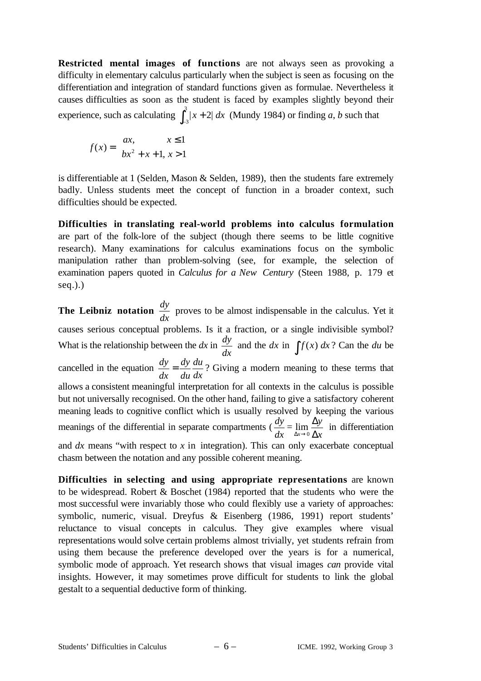**Restricted mental images of functions** are not always seen as provoking a difficulty in elementary calculus particularly when the subject is seen as focusing on the differentiation and integration of standard functions given as formulae. Nevertheless it causes difficulties as soon as the student is faced by examples slightly beyond their experience, such as calculating  $\int_{-3}^{3} |x+2| dx$  $\int_{-3}^{3} |x+2| dx$  (Mundy 1984) or finding *a*, *b* such that

$$
f(x) = \begin{cases} ax, & x \le 1 \\ bx^2 + x + 1, & x > 1 \end{cases}
$$

is differentiable at 1 (Selden, Mason & Selden, 1989), then the students fare extremely badly. Unless students meet the concept of function in a broader context, such difficulties should be expected.

**Difficulties in translating real-world problems into calculus formulation** are part of the folk-lore of the subject (though there seems to be little cognitive research). Many examinations for calculus examinations focus on the symbolic manipulation rather than problem-solving (see, for example, the selection of examination papers quoted in *Calculus for a New Century* (Steen 1988, p. 179 et seq.).)

**The Leibniz notation**  $\frac{dy}{dx}$  proves to be almost indispensable in the calculus. Yet it causes serious conceptual problems. Is it a fraction, or a single indivisible symbol? What is the relationship between the  $dx$  in  $\frac{dy}{dx}$  $\frac{dy}{dx}$  and the *dx* in  $\int f(x) dx$ ? Can the *du* be cancelled in the equation  $\frac{dy}{dx} = \frac{dy}{du}$  $\frac{du}{dx}$ ? Giving a modern meaning to these terms that allows a consistent meaningful interpretation for all contexts in the calculus is possible but not universally recognised. On the other hand, failing to give a satisfactory coherent meaning leads to cognitive conflict which is usually resolved by keeping the various meanings of the differential in separate compartments ( $\frac{dy}{dx} = \lim_{\Delta x \to 0}$ ∆*y* ∆*x* in differentiation and *dx* means "with respect to *x* in integration). This can only exacerbate conceptual chasm between the notation and any possible coherent meaning.

**Difficulties in selecting and using appropriate representations** are known to be widespread. Robert & Boschet (1984) reported that the students who were the most successful were invariably those who could flexibly use a variety of approaches: symbolic, numeric, visual. Dreyfus & Eisenberg (1986, 1991) report students' reluctance to visual concepts in calculus. They give examples where visual representations would solve certain problems almost trivially, yet students refrain from using them because the preference developed over the years is for a numerical, symbolic mode of approach. Yet research shows that visual images *can* provide vital insights. However, it may sometimes prove difficult for students to link the global gestalt to a sequential deductive form of thinking.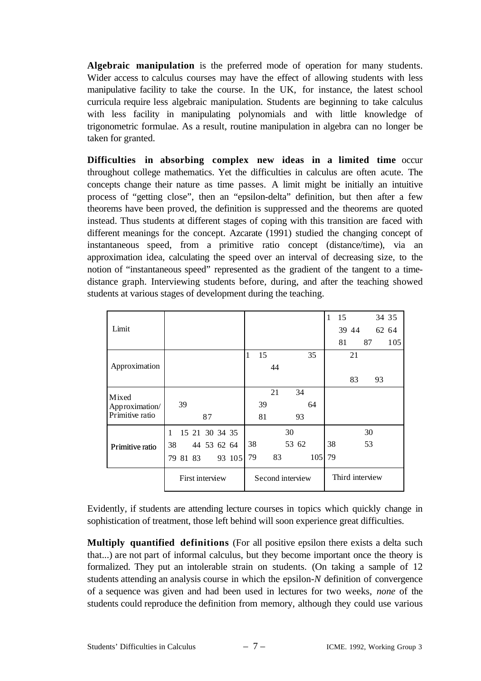**Algebraic manipulation** is the preferred mode of operation for many students. Wider access to calculus courses may have the effect of allowing students with less manipulative facility to take the course. In the UK, for instance, the latest school curricula require less algebraic manipulation. Students are beginning to take calculus with less facility in manipulating polynomials and with little knowledge of trigonometric formulae. As a result, routine manipulation in algebra can no longer be taken for granted.

**Difficulties in absorbing complex new ideas in a limited time** occur throughout college mathematics. Yet the difficulties in calculus are often acute. The concepts change their nature as time passes. A limit might be initially an intuitive process of "getting close", then an "epsilon-delta" definition, but then after a few theorems have been proved, the definition is suppressed and the theorems are quoted instead. Thus students at different stages of coping with this transition are faced with different meanings for the concept. Azcarate (1991) studied the changing concept of instantaneous speed, from a primitive ratio concept (distance/time), via an approximation idea, calculating the speed over an interval of decreasing size, to the notion of "instantaneous speed" represented as the gradient of the tangent to a timedistance graph. Interviewing students before, during, and after the teaching showed students at various stages of development during the teaching.

|                 |                 |                |             |  |                  |    |    |    |                 |     |    | 15 |       |    | 34 35 |       |
|-----------------|-----------------|----------------|-------------|--|------------------|----|----|----|-----------------|-----|----|----|-------|----|-------|-------|
| Limit           |                 |                |             |  |                  |    |    |    |                 |     |    |    | 39 44 |    |       | 62 64 |
|                 |                 |                |             |  |                  |    |    |    |                 |     |    | 81 |       | 87 |       | 105   |
| Approximation   |                 |                |             |  |                  | 15 |    |    |                 | 35  |    |    | 21    |    |       |       |
|                 |                 |                |             |  |                  |    | 44 |    |                 |     |    |    |       |    |       |       |
|                 |                 |                |             |  |                  |    |    |    |                 |     |    |    | 83    |    | 93    |       |
| Mixed           |                 |                |             |  |                  |    | 21 |    | 34              |     |    |    |       |    |       |       |
| Approximation/  | 39              |                |             |  |                  | 39 |    |    |                 | 64  |    |    |       |    |       |       |
| Primitive ratio |                 |                | 87          |  |                  | 81 |    |    | 93              |     |    |    |       |    |       |       |
|                 | 1               | 15 21 30 34 35 |             |  |                  |    |    | 30 |                 |     |    |    |       | 30 |       |       |
| Primitive ratio | 38              |                | 44 53 62 64 |  |                  | 38 |    |    | 53 62           |     | 38 |    |       | 53 |       |       |
|                 | 79 81 83        |                |             |  | 93 105           | 79 | 83 |    |                 | 105 | 79 |    |       |    |       |       |
|                 | First interview |                |             |  | Second interview |    |    |    | Third interview |     |    |    |       |    |       |       |

Evidently, if students are attending lecture courses in topics which quickly change in sophistication of treatment, those left behind will soon experience great difficulties.

**Multiply quantified definitions** (For all positive epsilon there exists a delta such that...) are not part of informal calculus, but they become important once the theory is formalized. They put an intolerable strain on students. (On taking a sample of 12 students attending an analysis course in which the epsilon-*N* definition of convergence of a sequence was given and had been used in lectures for two weeks, *none* of the students could reproduce the definition from memory, although they could use various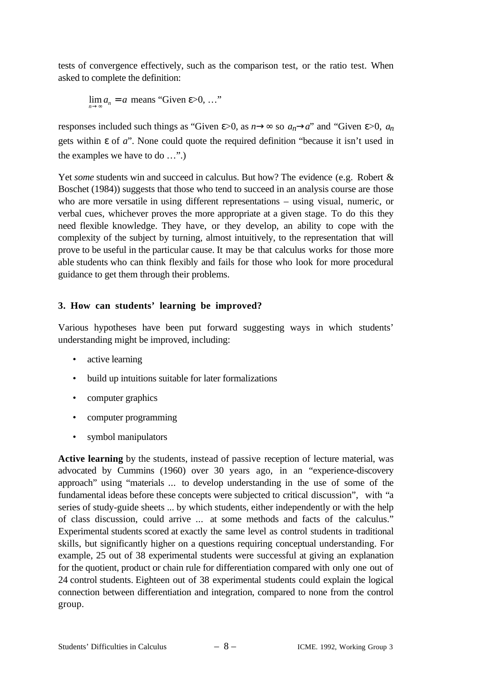tests of convergence effectively, such as the comparison test, or the ratio test. When asked to complete the definition:

$$
\lim_{n \to \infty} a_n = a
$$
 means "Given  $\varepsilon > 0, ...$ "

responses included such things as "Given  $\varepsilon > 0$ , as  $n \rightarrow \infty$  so  $a_n \rightarrow a$ " and "Given  $\varepsilon > 0$ ,  $a_n$ gets within ε of *a*". None could quote the required definition "because it isn't used in the examples we have to do …".)

Yet *some* students win and succeed in calculus. But how? The evidence (e.g. Robert & Boschet (1984)) suggests that those who tend to succeed in an analysis course are those who are more versatile in using different representations – using visual, numeric, or verbal cues, whichever proves the more appropriate at a given stage. To do this they need flexible knowledge. They have, or they develop, an ability to cope with the complexity of the subject by turning, almost intuitively, to the representation that will prove to be useful in the particular cause. It may be that calculus works for those more able students who can think flexibly and fails for those who look for more procedural guidance to get them through their problems.

## **3. How can students' learning be improved?**

Various hypotheses have been put forward suggesting ways in which students' understanding might be improved, including:

- active learning
- build up intuitions suitable for later formalizations
- computer graphics
- computer programming
- symbol manipulators

**Active learning** by the students, instead of passive reception of lecture material, was advocated by Cummins (1960) over 30 years ago, in an "experience-discovery approach" using "materials ... to develop understanding in the use of some of the fundamental ideas before these concepts were subjected to critical discussion", with "a series of study-guide sheets ... by which students, either independently or with the help of class discussion, could arrive ... at some methods and facts of the calculus." Experimental students scored at exactly the same level as control students in traditional skills, but significantly higher on a questions requiring conceptual understanding. For example, 25 out of 38 experimental students were successful at giving an explanation for the quotient, product or chain rule for differentiation compared with only one out of 24 control students. Eighteen out of 38 experimental students could explain the logical connection between differentiation and integration, compared to none from the control group.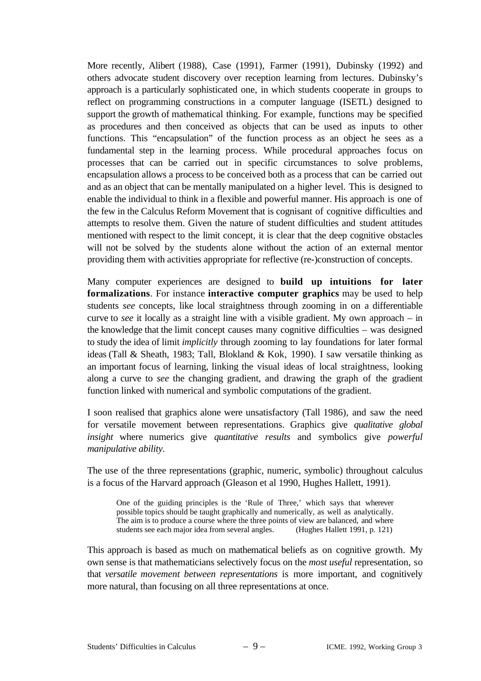More recently, Alibert (1988), Case (1991), Farmer (1991), Dubinsky (1992) and others advocate student discovery over reception learning from lectures. Dubinsky's approach is a particularly sophisticated one, in which students cooperate in groups to reflect on programming constructions in a computer language (ISETL) designed to support the growth of mathematical thinking. For example, functions may be specified as procedures and then conceived as objects that can be used as inputs to other functions. This "encapsulation" of the function process as an object he sees as a fundamental step in the learning process. While procedural approaches focus on processes that can be carried out in specific circumstances to solve problems, encapsulation allows a process to be conceived both as a process that can be carried out and as an object that can be mentally manipulated on a higher level. This is designed to enable the individual to think in a flexible and powerful manner. His approach is one of the few in the Calculus Reform Movement that is cognisant of cognitive difficulties and attempts to resolve them. Given the nature of student difficulties and student attitudes mentioned with respect to the limit concept, it is clear that the deep cognitive obstacles will not be solved by the students alone without the action of an external mentor providing them with activities appropriate for reflective (re-)construction of concepts.

Many computer experiences are designed to **build up intuitions for later formalizations**. For instance **interactive computer graphics** may be used to help students *see* concepts, like local straightness through zooming in on a differentiable curve to *see* it locally as a straight line with a visible gradient. My own approach – in the knowledge that the limit concept causes many cognitive difficulties – was designed to study the idea of limit *implicitly* through zooming to lay foundations for later formal ideas (Tall & Sheath, 1983; Tall, Blokland & Kok, 1990). I saw versatile thinking as an important focus of learning, linking the visual ideas of local straightness, looking along a curve to *see* the changing gradient, and drawing the graph of the gradient function linked with numerical and symbolic computations of the gradient.

I soon realised that graphics alone were unsatisfactory (Tall 1986), and saw the need for versatile movement between representations. Graphics give *qualitative global insight* where numerics give *quantitative results* and symbolics give *powerful manipulative ability*.

The use of the three representations (graphic, numeric, symbolic) throughout calculus is a focus of the Harvard approach (Gleason et al 1990, Hughes Hallett, 1991).

One of the guiding principles is the 'Rule of Three,' which says that wherever possible topics should be taught graphically and numerically, as well as analytically. The aim is to produce a course where the three points of view are balanced, and where students see each major idea from several angles. (Hughes Hallett 1991, p. 121)

This approach is based as much on mathematical beliefs as on cognitive growth. My own sense is that mathematicians selectively focus on the *most useful* representation, so that *versatile movement between representations* is more important, and cognitively more natural, than focusing on all three representations at once.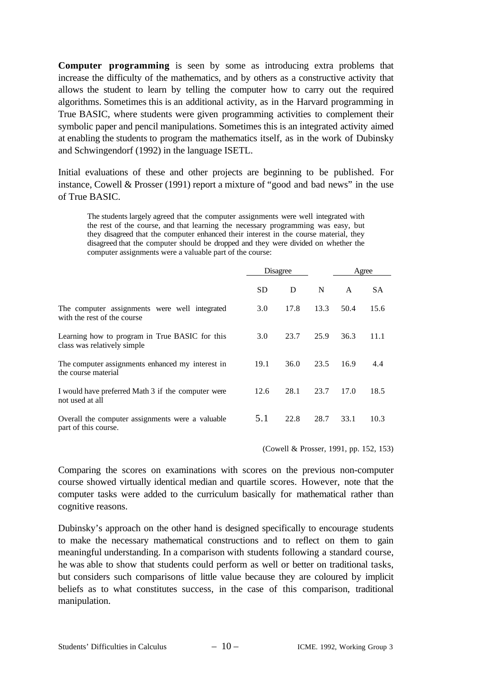**Computer programming** is seen by some as introducing extra problems that increase the difficulty of the mathematics, and by others as a constructive activity that allows the student to learn by telling the computer how to carry out the required algorithms. Sometimes this is an additional activity, as in the Harvard programming in True BASIC, where students were given programming activities to complement their symbolic paper and pencil manipulations. Sometimes this is an integrated activity aimed at enabling the students to program the mathematics itself, as in the work of Dubinsky and Schwingendorf (1992) in the language ISETL.

Initial evaluations of these and other projects are beginning to be published. For instance, Cowell & Prosser (1991) report a mixture of "good and bad news" in the use of True BASIC.

The students largely agreed that the computer assignments were well integrated with the rest of the course, and that learning the necessary programming was easy, but they disagreed that the computer enhanced their interest in the course material, they disagreed that the computer should be dropped and they were divided on whether the computer assignments were a valuable part of the course:

|                                                                               |      | Disagree |      | Agree |      |
|-------------------------------------------------------------------------------|------|----------|------|-------|------|
|                                                                               | SD.  | D        | N    | A     | SА   |
| The computer assignments were well integrated<br>with the rest of the course  | 3.0  | 17.8     | 13.3 | 50.4  | 15.6 |
| Learning how to program in True BASIC for this<br>class was relatively simple | 3.0  | 23.7     | 25.9 | 36.3  | 11.1 |
| The computer assignments enhanced my interest in<br>the course material       | 19.1 | 36.0     | 23.5 | 16.9  | 4.4  |
| I would have preferred Math 3 if the computer were<br>not used at all         | 12.6 | 28.1     | 23.7 | 17.0  | 18.5 |
| Overall the computer assignments were a valuable<br>part of this course.      | 5.1  | 22.8     | 28.7 | 33.1  | 10.3 |

(Cowell & Prosser, 1991, pp. 152, 153)

Comparing the scores on examinations with scores on the previous non-computer course showed virtually identical median and quartile scores. However, note that the computer tasks were added to the curriculum basically for mathematical rather than cognitive reasons.

Dubinsky's approach on the other hand is designed specifically to encourage students to make the necessary mathematical constructions and to reflect on them to gain meaningful understanding. In a comparison with students following a standard course, he was able to show that students could perform as well or better on traditional tasks, but considers such comparisons of little value because they are coloured by implicit beliefs as to what constitutes success, in the case of this comparison, traditional manipulation.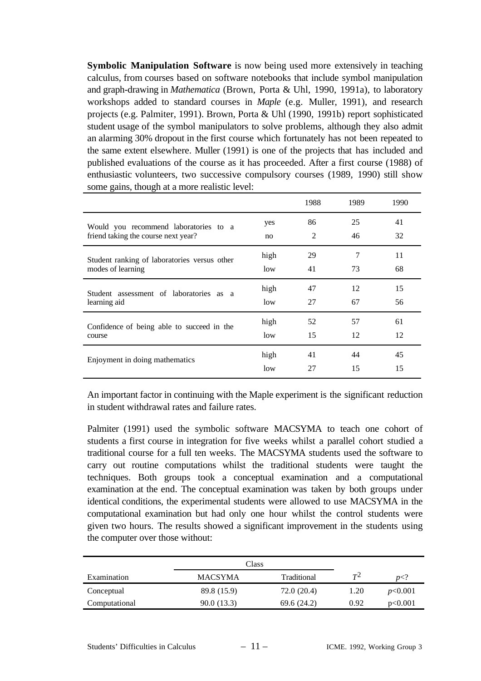**Symbolic Manipulation Software** is now being used more extensively in teaching calculus, from courses based on software notebooks that include symbol manipulation and graph-drawing in *Mathematica* (Brown, Porta & Uhl, 1990, 1991a), to laboratory workshops added to standard courses in *Maple* (e.g. Muller, 1991), and research projects (e.g. Palmiter, 1991). Brown, Porta & Uhl (1990, 1991b) report sophisticated student usage of the symbol manipulators to solve problems, although they also admit an alarming 30% dropout in the first course which fortunately has not been repeated to the same extent elsewhere. Muller (1991) is one of the projects that has included and published evaluations of the course as it has proceeded. After a first course (1988) of enthusiastic volunteers, two successive compulsory courses (1989, 1990) still show some gains, though at a more realistic level:

|                                              |      | 1988 | 1989 | 1990 |
|----------------------------------------------|------|------|------|------|
| Would you recommend laboratories to a        | yes  | 86   | 25   | 41   |
| friend taking the course next year?          | no   | 2    | 46   | 32   |
| Student ranking of laboratories versus other | high | 29   | 7    | 11   |
| modes of learning                            | low  | 41   | 73   | 68   |
| Student assessment of laboratories as a      | high | 47   | 12   | 15   |
| learning aid                                 | low  | 27   | 67   | 56   |
| Confidence of being able to succeed in the   | high | 52   | 57   | 61   |
| course                                       | low  | 15   | 12   | 12   |
| Enjoyment in doing mathematics               | high | 41   | 44   | 45   |
|                                              | low  | 27   | 15   | 15   |

An important factor in continuing with the Maple experiment is the significant reduction in student withdrawal rates and failure rates.

Palmiter (1991) used the symbolic software MACSYMA to teach one cohort of students a first course in integration for five weeks whilst a parallel cohort studied a traditional course for a full ten weeks. The MACSYMA students used the software to carry out routine computations whilst the traditional students were taught the techniques. Both groups took a conceptual examination and a computational examination at the end. The conceptual examination was taken by both groups under identical conditions, the experimental students were allowed to use MACSYMA in the computational examination but had only one hour whilst the control students were given two hours. The results showed a significant improvement in the students using the computer over those without:

|               | Class          |             |       |         |  |  |
|---------------|----------------|-------------|-------|---------|--|--|
| Examination   | <b>MACSYMA</b> | Traditional | $T^2$ | p </td  |  |  |
| Conceptual    | 89.8 (15.9)    | 72.0 (20.4) | 1.20  | p<0.001 |  |  |
| Computational | 90.0(13.3)     | 69.6 (24.2) | 0.92  | p<0.001 |  |  |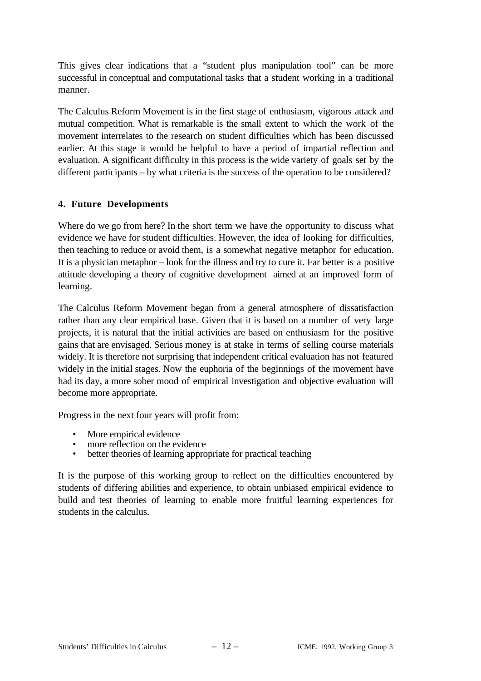This gives clear indications that a "student plus manipulation tool" can be more successful in conceptual and computational tasks that a student working in a traditional manner.

The Calculus Reform Movement is in the first stage of enthusiasm, vigorous attack and mutual competition. What is remarkable is the small extent to which the work of the movement interrelates to the research on student difficulties which has been discussed earlier. At this stage it would be helpful to have a period of impartial reflection and evaluation. A significant difficulty in this process is the wide variety of goals set by the different participants – by what criteria is the success of the operation to be considered?

### **4. Future Developments**

Where do we go from here? In the short term we have the opportunity to discuss what evidence we have for student difficulties. However, the idea of looking for difficulties, then teaching to reduce or avoid them, is a somewhat negative metaphor for education. It is a physician metaphor – look for the illness and try to cure it. Far better is a positive attitude developing a theory of cognitive development aimed at an improved form of learning.

The Calculus Reform Movement began from a general atmosphere of dissatisfaction rather than any clear empirical base. Given that it is based on a number of very large projects, it is natural that the initial activities are based on enthusiasm for the positive gains that are envisaged. Serious money is at stake in terms of selling course materials widely. It is therefore not surprising that independent critical evaluation has not featured widely in the initial stages. Now the euphoria of the beginnings of the movement have had its day, a more sober mood of empirical investigation and objective evaluation will become more appropriate.

Progress in the next four years will profit from:

- More empirical evidence
- more reflection on the evidence
- better theories of learning appropriate for practical teaching

It is the purpose of this working group to reflect on the difficulties encountered by students of differing abilities and experience, to obtain unbiased empirical evidence to build and test theories of learning to enable more fruitful learning experiences for students in the calculus.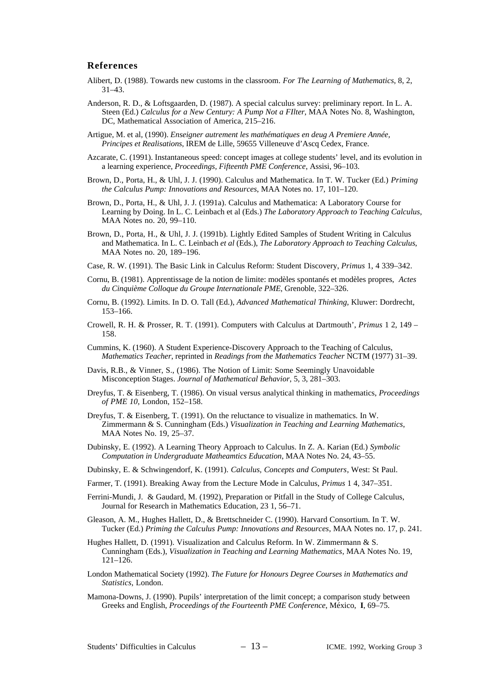#### **References**

- Alibert, D. (1988). Towards new customs in the classroom. *For The Learning of Mathematics*, 8, 2, 31–43.
- Anderson, R. D., & Loftsgaarden, D. (1987). A special calculus survey: preliminary report. In L. A. Steen (Ed.) *Calculus for a New Century: A Pump Not a FIlter*, MAA Notes No. 8, Washington, DC, Mathematical Association of America, 215–216.
- Artigue, M. et al, (1990). *Enseigner autrement les mathématiques en deug A Premiere Année, Principes et Realisations*, IREM de Lille, 59655 Villeneuve d'Ascq Cedex, France.
- Azcarate, C. (1991). Instantaneous speed: concept images at college students' level, and its evolution in a learning experience, *Proceedings, Fifteenth PME Conference*, Assisi, 96–103.
- Brown, D., Porta, H., & Uhl, J. J. (1990). Calculus and Mathematica. In T. W. Tucker (Ed.) *Priming the Calculus Pump: Innovations and Resources*, MAA Notes no. 17, 101–120.
- Brown, D., Porta, H., & Uhl, J. J. (1991a). Calculus and Mathematica: A Laboratory Course for Learning by Doing. In L. C. Leinbach et al (Eds.) *The Laboratory Approach to Teaching Calculus*, MAA Notes no. 20, 99–110.
- Brown, D., Porta, H., & Uhl, J. J. (1991b). Lightly Edited Samples of Student Writing in Calculus and Mathematica. In L. C. Leinbach *et al* (Eds.), *The Laboratory Approach to Teaching Calculus*, MAA Notes no. 20, 189–196.
- Case, R. W. (1991). The Basic Link in Calculus Reform: Student Discovery, *Primus* 1, 4 339–342.
- Cornu, B. (1981). Apprentissage de la notion de limite: modèles spontanés et modèles propres, *Actes du Cinquième Colloque du Groupe Internationale PME*, Grenoble, 322–326.
- Cornu, B. (1992). Limits. In D. O. Tall (Ed.), *Advanced Mathematical Thinking*, Kluwer: Dordrecht, 153–166.
- Crowell, R. H. & Prosser, R. T. (1991). Computers with Calculus at Dartmouth', *Primus* 1 2, 149 158.
- Cummins, K. (1960). A Student Experience-Discovery Approach to the Teaching of Calculus, *Mathematics Teacher*, reprinted in *Readings from the Mathematics Teacher* NCTM (1977) 31–39.
- Davis, R.B., & Vinner, S., (1986). The Notion of Limit: Some Seemingly Unavoidable Misconception Stages. *Journal of Mathematical Behavior*, 5, 3, 281–303.
- Dreyfus, T. & Eisenberg, T. (1986). On visual versus analytical thinking in mathematics, *Proceedings of PME 10*, London, 152–158.
- Dreyfus, T. & Eisenberg, T. (1991). On the reluctance to visualize in mathematics. In W. Zimmermann & S. Cunningham (Eds.) *Visualization in Teaching and Learning Mathematics*, MAA Notes No. 19, 25–37.
- Dubinsky, E. (1992). A Learning Theory Approach to Calculus. In Z. A. Karian (Ed.) *Symbolic Computation in Undergraduate Matheamtics Education*, MAA Notes No. 24, 43–55.
- Dubinsky, E. & Schwingendorf, K. (1991). *Calculus, Concepts and Computers*, West: St Paul.
- Farmer, T. (1991). Breaking Away from the Lecture Mode in Calculus, *Primus* 1 4, 347–351.
- Ferrini-Mundi, J. & Gaudard, M. (1992), Preparation or Pitfall in the Study of College Calculus, Journal for Research in Mathematics Education, 23 1, 56–71.
- Gleason, A. M., Hughes Hallett, D., & Brettschneider C. (1990). Harvard Consortium. In T. W. Tucker (Ed.) *Priming the Calculus Pump: Innovations and Resources*, MAA Notes no. 17, p. 241.
- Hughes Hallett, D. (1991). Visualization and Calculus Reform. In W. Zimmermann & S. Cunningham (Eds.), *Visualization in Teaching and Learning Mathematics*, MAA Notes No. 19, 121–126.
- London Mathematical Society (1992). *The Future for Honours Degree Courses in Mathematics and Statistics*, London.
- Mamona-Downs, J. (1990). Pupils' interpretation of the limit concept; a comparison study between Greeks and English, *Proceedings of the Fourteenth PME Conference*, México, **I**, 69–75.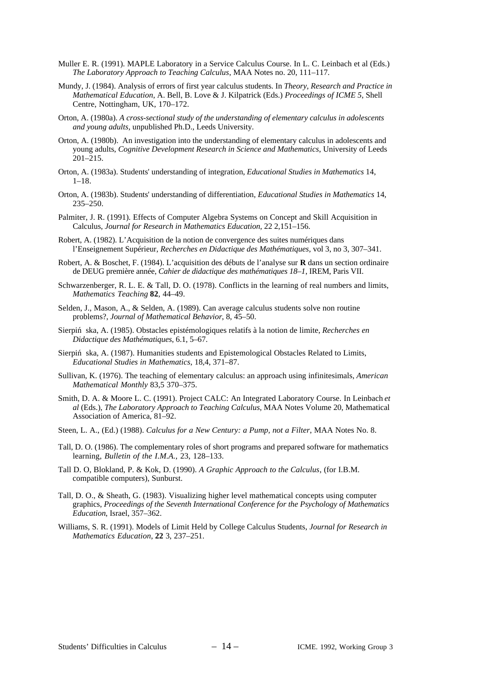- Muller E. R. (1991). MAPLE Laboratory in a Service Calculus Course. In L. C. Leinbach et al (Eds.) *The Laboratory Approach to Teaching Calculus*, MAA Notes no. 20, 111–117.
- Mundy, J. (1984). Analysis of errors of first year calculus students. In *Theory, Research and Practice in Mathematical Education*, A. Bell, B. Love & J. Kilpatrick (Eds.) *Proceedings of ICME 5*, Shell Centre, Nottingham, UK, 170–172.
- Orton, A. (1980a). *A cross-sectional study of the understanding of elementary calculus in adolescents and young adults,* unpublished Ph.D., Leeds University.
- Orton, A. (1980b). An investigation into the understanding of elementary calculus in adolescents and young adults, *Cognitive Development Research in Science and Mathematics*, University of Leeds 201–215.
- Orton, A. (1983a). Students' understanding of integration, *Educational Studies in Mathematics* 14, 1–18.
- Orton, A. (1983b). Students' understanding of differentiation, *Educational Studies in Mathematics* 14, 235–250.
- Palmiter, J. R. (1991). Effects of Computer Algebra Systems on Concept and Skill Acquisition in Calculus, *Journal for Research in Mathematics Education*, 22 2,151–156.
- Robert, A. (1982). L'Acquisition de la notion de convergence des suites numériques dans l'Enseignement Supérieur, *Recherches en Didactique des Mathématiques,* vol 3, no 3, 307–341.
- Robert, A. & Boschet, F. (1984). L'acquisition des débuts de l'analyse sur **R** dans un section ordinaire de DEUG première année, *Cahier de didactique des mathématiques 18–1*, IREM, Paris VII.
- Schwarzenberger, R. L. E. & Tall, D. O. (1978). Conflicts in the learning of real numbers and limits, *Mathematics Teaching* **82**, 44–49.
- Selden, J., Mason, A., & Selden, A. (1989). Can average calculus students solve non routine problems?, *Journal of Mathematical Behavior*, 8, 45–50.
- Sierpin´ ska, A. (1985). Obstacles epistémologiques relatifs à la notion de limite, *Recherches en Didactique des Mathématiques*, 6.1, 5–67.
- Sierpin ska, A. (1987). Humanities students and Epistemological Obstacles Related to Limits, *Educational Studies in Mathematics*, 18,4, 371–87.
- Sullivan, K. (1976). The teaching of elementary calculus: an approach using infinitesimals, *American Mathematical Monthly* 83,5 370–375.
- Smith, D. A. & Moore L. C. (1991). Project CALC: An Integrated Laboratory Course. In Leinbach *et al* (Eds.), *The Laboratory Approach to Teaching Calculus*, MAA Notes Volume 20, Mathematical Association of America, 81–92.
- Steen, L. A., (Ed.) (1988). *Calculus for a New Century: a Pump, not a Filter*, MAA Notes No. 8.
- Tall, D. O. (1986). The complementary roles of short programs and prepared software for mathematics learning, *Bulletin of the I.M.A.*, 23, 128–133.
- Tall D. O, Blokland, P. & Kok, D. (1990). *A Graphic Approach to the Calculus*, (for I.B.M. compatible computers), Sunburst.
- Tall, D. O., & Sheath, G. (1983). Visualizing higher level mathematical concepts using computer graphics, *Proceedings of the Seventh International Conference for the Psychology of Mathematics Education*, Israel, 357–362.
- Williams, S. R. (1991). Models of Limit Held by College Calculus Students, *Journal for Research in Mathematics Education*, **22** 3, 237–251.